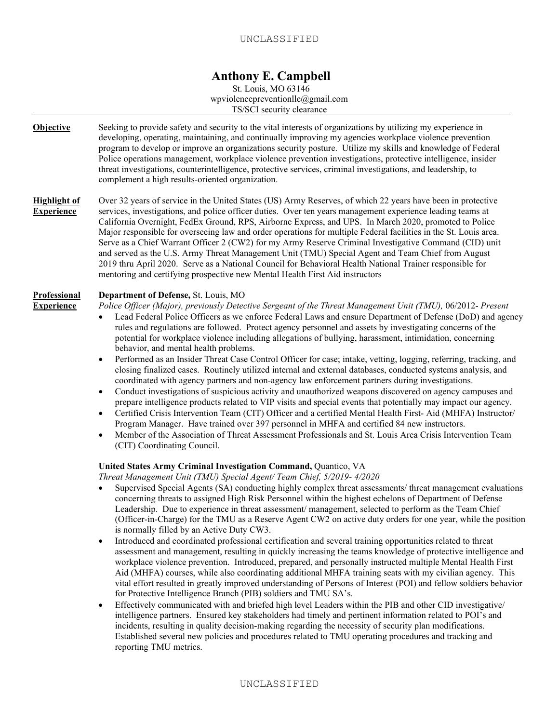St. Louis, MO 63146 wpviolencepreventionllc@gmail.com TS/SCI security clearance

| <b>Objective</b>                         | Seeking to provide safety and security to the vital interests of organizations by utilizing my experience in<br>developing, operating, maintaining, and continually improving my agencies workplace violence prevention<br>program to develop or improve an organizations security posture. Utilize my skills and knowledge of Federal<br>Police operations management, workplace violence prevention investigations, protective intelligence, insider<br>threat investigations, counterintelligence, protective services, criminal investigations, and leadership, to<br>complement a high results-oriented organization.                                                                                                                                                                                                                                                                                                                                                                                                                                                                                                                                                                                                                                                                                                                                                                                                                                                                                                                                                                                                                                                                                      |
|------------------------------------------|-----------------------------------------------------------------------------------------------------------------------------------------------------------------------------------------------------------------------------------------------------------------------------------------------------------------------------------------------------------------------------------------------------------------------------------------------------------------------------------------------------------------------------------------------------------------------------------------------------------------------------------------------------------------------------------------------------------------------------------------------------------------------------------------------------------------------------------------------------------------------------------------------------------------------------------------------------------------------------------------------------------------------------------------------------------------------------------------------------------------------------------------------------------------------------------------------------------------------------------------------------------------------------------------------------------------------------------------------------------------------------------------------------------------------------------------------------------------------------------------------------------------------------------------------------------------------------------------------------------------------------------------------------------------------------------------------------------------|
| <b>Highlight of</b><br><b>Experience</b> | Over 32 years of service in the United States (US) Army Reserves, of which 22 years have been in protective<br>services, investigations, and police officer duties. Over ten years management experience leading teams at<br>California Overnight, FedEx Ground, RPS, Airborne Express, and UPS. In March 2020, promoted to Police<br>Major responsible for overseeing law and order operations for multiple Federal facilities in the St. Louis area.<br>Serve as a Chief Warrant Officer 2 (CW2) for my Army Reserve Criminal Investigative Command (CID) unit<br>and served as the U.S. Army Threat Management Unit (TMU) Special Agent and Team Chief from August<br>2019 thru April 2020. Serve as a National Council for Behavioral Health National Trainer responsible for<br>mentoring and certifying prospective new Mental Health First Aid instructors                                                                                                                                                                                                                                                                                                                                                                                                                                                                                                                                                                                                                                                                                                                                                                                                                                               |
| Professional<br><b>Experience</b>        | Department of Defense, St. Louis, MO<br>Police Officer (Major), previously Detective Sergeant of the Threat Management Unit (TMU), 06/2012- Present<br>Lead Federal Police Officers as we enforce Federal Laws and ensure Department of Defense (DoD) and agency<br>rules and regulations are followed. Protect agency personnel and assets by investigating concerns of the<br>potential for workplace violence including allegations of bullying, harassment, intimidation, concerning<br>behavior, and mental health problems.<br>Performed as an Insider Threat Case Control Officer for case; intake, vetting, logging, referring, tracking, and<br>$\bullet$<br>closing finalized cases. Routinely utilized internal and external databases, conducted systems analysis, and<br>coordinated with agency partners and non-agency law enforcement partners during investigations.<br>Conduct investigations of suspicious activity and unauthorized weapons discovered on agency campuses and<br>$\bullet$<br>prepare intelligence products related to VIP visits and special events that potentially may impact our agency.<br>Certified Crisis Intervention Team (CIT) Officer and a certified Mental Health First- Aid (MHFA) Instructor/<br>$\bullet$<br>Program Manager. Have trained over 397 personnel in MHFA and certified 84 new instructors.<br>Member of the Association of Threat Assessment Professionals and St. Louis Area Crisis Intervention Team<br>$\bullet$<br>(CIT) Coordinating Council.<br>United States Army Criminal Investigation Command, Quantico, VA                                                                                                                          |
|                                          | Threat Management Unit (TMU) Special Agent/ Team Chief, 5/2019- 4/2020<br>Supervised Special Agents (SA) conducting highly complex threat assessments/ threat management evaluations<br>concerning threats to assigned High Risk Personnel within the highest echelons of Department of Defense<br>Leadership. Due to experience in threat assessment/management, selected to perform as the Team Chief<br>(Officer-in-Charge) for the TMU as a Reserve Agent CW2 on active duty orders for one year, while the position<br>is normally filled by an Active Duty CW3.<br>Introduced and coordinated professional certification and several training opportunities related to threat<br>٠<br>assessment and management, resulting in quickly increasing the teams knowledge of protective intelligence and<br>workplace violence prevention. Introduced, prepared, and personally instructed multiple Mental Health First<br>Aid (MHFA) courses, while also coordinating additional MHFA training seats with my civilian agency. This<br>vital effort resulted in greatly improved understanding of Persons of Interest (POI) and fellow soldiers behavior<br>for Protective Intelligence Branch (PIB) soldiers and TMU SA's.<br>Effectively communicated with and briefed high level Leaders within the PIB and other CID investigative/<br>$\bullet$<br>intelligence partners. Ensured key stakeholders had timely and pertinent information related to POI's and<br>incidents, resulting in quality decision-making regarding the necessity of security plan modifications.<br>Established several new policies and procedures related to TMU operating procedures and tracking and<br>reporting TMU metrics. |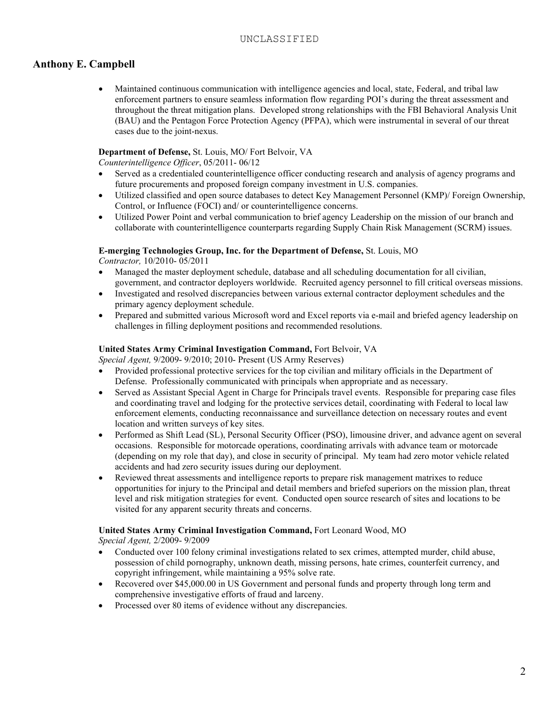• Maintained continuous communication with intelligence agencies and local, state, Federal, and tribal law enforcement partners to ensure seamless information flow regarding POI's during the threat assessment and throughout the threat mitigation plans. Developed strong relationships with the FBI Behavioral Analysis Unit (BAU) and the Pentagon Force Protection Agency (PFPA), which were instrumental in several of our threat cases due to the joint-nexus.

### **Department of Defense,** St. Louis, MO/ Fort Belvoir, VA

*Counterintelligence Officer*, 05/2011- 06/12

- Served as a credentialed counterintelligence officer conducting research and analysis of agency programs and future procurements and proposed foreign company investment in U.S. companies.
- Utilized classified and open source databases to detect Key Management Personnel (KMP)/ Foreign Ownership, Control, or Influence (FOCI) and/ or counterintelligence concerns.
- Utilized Power Point and verbal communication to brief agency Leadership on the mission of our branch and collaborate with counterintelligence counterparts regarding Supply Chain Risk Management (SCRM) issues.

#### **E-merging Technologies Group, Inc. for the Department of Defense,** St. Louis, MO

*Contractor,* 10/2010- 05/2011

- Managed the master deployment schedule, database and all scheduling documentation for all civilian, government, and contractor deployers worldwide. Recruited agency personnel to fill critical overseas missions.
- Investigated and resolved discrepancies between various external contractor deployment schedules and the primary agency deployment schedule.
- Prepared and submitted various Microsoft word and Excel reports via e-mail and briefed agency leadership on challenges in filling deployment positions and recommended resolutions.

#### **United States Army Criminal Investigation Command,** Fort Belvoir, VA

*Special Agent,* 9/2009- 9/2010; 2010- Present (US Army Reserves)

- Provided professional protective services for the top civilian and military officials in the Department of Defense. Professionally communicated with principals when appropriate and as necessary.
- Served as Assistant Special Agent in Charge for Principals travel events. Responsible for preparing case files and coordinating travel and lodging for the protective services detail, coordinating with Federal to local law enforcement elements, conducting reconnaissance and surveillance detection on necessary routes and event location and written surveys of key sites.
- Performed as Shift Lead (SL), Personal Security Officer (PSO), limousine driver, and advance agent on several occasions. Responsible for motorcade operations, coordinating arrivals with advance team or motorcade (depending on my role that day), and close in security of principal. My team had zero motor vehicle related accidents and had zero security issues during our deployment.
- Reviewed threat assessments and intelligence reports to prepare risk management matrixes to reduce opportunities for injury to the Principal and detail members and briefed superiors on the mission plan, threat level and risk mitigation strategies for event. Conducted open source research of sites and locations to be visited for any apparent security threats and concerns.

### **United States Army Criminal Investigation Command,** Fort Leonard Wood, MO

*Special Agent,* 2/2009- 9/2009

- Conducted over 100 felony criminal investigations related to sex crimes, attempted murder, child abuse, possession of child pornography, unknown death, missing persons, hate crimes, counterfeit currency, and copyright infringement, while maintaining a 95% solve rate.
- Recovered over \$45,000.00 in US Government and personal funds and property through long term and comprehensive investigative efforts of fraud and larceny.
- Processed over 80 items of evidence without any discrepancies.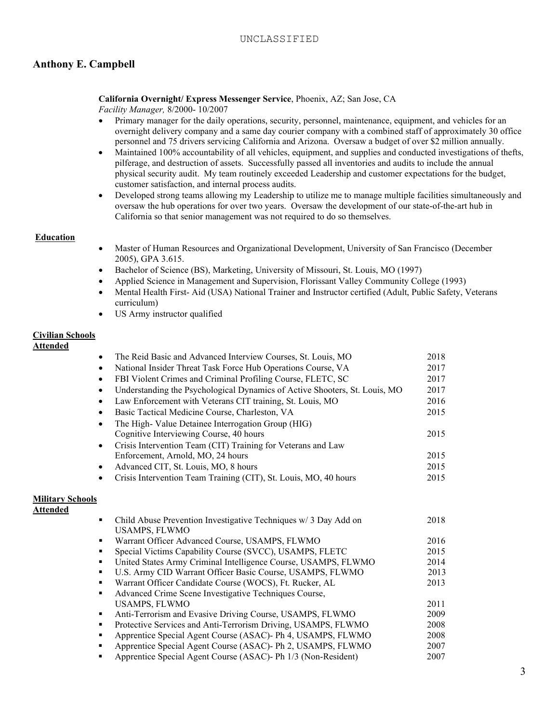### **California Overnight/ Express Messenger Service**, Phoenix, AZ; San Jose, CA

*Facility Manager,* 8/2000- 10/2007

- Primary manager for the daily operations, security, personnel, maintenance, equipment, and vehicles for an overnight delivery company and a same day courier company with a combined staff of approximately 30 office personnel and 75 drivers servicing California and Arizona. Oversaw a budget of over \$2 million annually.
- Maintained 100% accountability of all vehicles, equipment, and supplies and conducted investigations of thefts, pilferage, and destruction of assets. Successfully passed all inventories and audits to include the annual physical security audit. My team routinely exceeded Leadership and customer expectations for the budget, customer satisfaction, and internal process audits.
- Developed strong teams allowing my Leadership to utilize me to manage multiple facilities simultaneously and oversaw the hub operations for over two years. Oversaw the development of our state-of-the-art hub in California so that senior management was not required to do so themselves.

### **Education**

- Master of Human Resources and Organizational Development, University of San Francisco (December 2005), GPA 3.615.
- Bachelor of Science (BS), Marketing, University of Missouri, St. Louis, MO (1997)
- Applied Science in Management and Supervision, Florissant Valley Community College (1993)
- Mental Health First- Aid (USA) National Trainer and Instructor certified (Adult, Public Safety, Veterans curriculum)
- US Army instructor qualified

### **Civilian Schools**

### **Attended**

|                         |           | The Reid Basic and Advanced Interview Courses, St. Louis, MO               | 2018 |
|-------------------------|-----------|----------------------------------------------------------------------------|------|
|                         | $\bullet$ | National Insider Threat Task Force Hub Operations Course, VA               | 2017 |
|                         | $\bullet$ | FBI Violent Crimes and Criminal Profiling Course, FLETC, SC                | 2017 |
|                         | $\bullet$ | Understanding the Psychological Dynamics of Active Shooters, St. Louis, MO | 2017 |
|                         | $\bullet$ | Law Enforcement with Veterans CIT training, St. Louis, MO                  | 2016 |
|                         | $\bullet$ | Basic Tactical Medicine Course, Charleston, VA                             | 2015 |
|                         |           | The High- Value Detainee Interrogation Group (HIG)                         |      |
|                         |           | Cognitive Interviewing Course, 40 hours                                    | 2015 |
|                         | $\bullet$ | Crisis Intervention Team (CIT) Training for Veterans and Law               |      |
|                         |           | Enforcement, Arnold, MO, 24 hours                                          | 2015 |
|                         | $\bullet$ | Advanced CIT, St. Louis, MO, 8 hours                                       | 2015 |
|                         | $\bullet$ | Crisis Intervention Team Training (CIT), St. Louis, MO, 40 hours           | 2015 |
| <b>Military Schools</b> |           |                                                                            |      |
| Attended                |           |                                                                            |      |
|                         | ٠         | Child Abuse Prevention Investigative Techniques w/ 3 Day Add on            | 2018 |
|                         |           | <b>USAMPS, FLWMO</b>                                                       |      |
|                         | ٠         | Warrant Officer Advanced Course, USAMPS, FLWMO                             | 2016 |
|                         | ٠         | Special Victims Capability Course (SVCC), USAMPS, FLETC                    | 2015 |
|                         | ٠         | United States Army Criminal Intelligence Course, USAMPS, FLWMO             | 2014 |
|                         | ٠         | U.S. Army CID Warrant Officer Basic Course, USAMPS, FLWMO                  | 2013 |
|                         | ٠         | Warrant Officer Candidate Course (WOCS), Ft. Rucker, AL                    | 2013 |
|                         | ٠         | Advanced Crime Scene Investigative Techniques Course,                      |      |
|                         |           | <b>USAMPS, FLWMO</b>                                                       | 2011 |
|                         | ٠         | Anti-Terrorism and Evasive Driving Course, USAMPS, FLWMO                   | 2009 |
|                         | ٠         | Protective Services and Anti-Terrorism Driving, USAMPS, FLWMO              | 2008 |
|                         | ٠         | Apprentice Special Agent Course (ASAC)- Ph 4, USAMPS, FLWMO                | 2008 |
|                         | ٠         | Apprentice Special Agent Course (ASAC)- Ph 2, USAMPS, FLWMO                | 2007 |
|                         | ٠         | Apprentice Special Agent Course (ASAC)- Ph 1/3 (Non-Resident)              | 2007 |